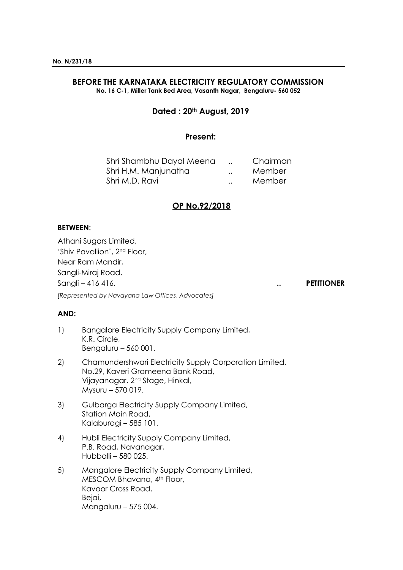# **BEFORE THE KARNATAKA ELECTRICITY REGULATORY COMMISSION**

**No. 16 C-1, Miller Tank Bed Area, Vasanth Nagar, Bengaluru- 560 052**

# **Dated : 20th August, 2019**

## **Present:**

| Shri Shambhu Dayal Meena |                      | Chairman |
|--------------------------|----------------------|----------|
| Shri H.M. Manjunatha     | $\ddot{\phantom{a}}$ | Member   |
| Shri M.D. Ravi           | $\ddot{\phantom{a}}$ | Member   |

## **OP No.92/2018**

## **BETWEEN:**

Athani Sugars Limited, 'Shiv Pavallion', 2nd Floor, Near Ram Mandir, Sangli-Miraj Road, Sangli – 416 416. **.. PETITIONER** *[Represented by Navayana Law Offices, Advocates]*

#### **AND:**

- 1) Bangalore Electricity Supply Company Limited, K.R. Circle, Bengaluru – 560 001.
- 2) Chamundershwari Electricity Supply Corporation Limited, No.29, Kaveri Grameena Bank Road, Vijayanagar, 2nd Stage, Hinkal, Mysuru – 570 019.
- 3) Gulbarga Electricity Supply Company Limited, Station Main Road, Kalaburagi – 585 101.
- 4) Hubli Electricity Supply Company Limited, P.B. Road, Navanagar, Hubballi – 580 025.
- 5) Mangalore Electricity Supply Company Limited, MESCOM Bhavana, 4<sup>th</sup> Floor, Kavoor Cross Road, Bejai, Mangaluru – 575 004.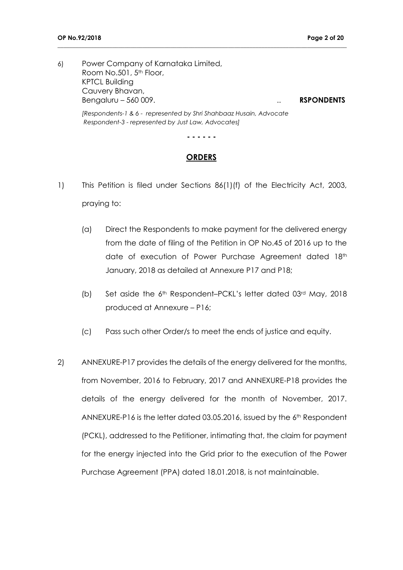6) Power Company of Karnataka Limited, Room No.501, 5<sup>th</sup> Floor, KPTCL Building Cauvery Bhavan, Bengaluru – 560 009. .. **RSPONDENTS**

**\_\_\_\_\_\_\_\_\_\_\_\_\_\_\_\_\_\_\_\_\_\_\_\_\_\_\_\_\_\_\_\_\_\_\_\_\_\_\_\_\_\_\_\_\_\_\_\_\_\_\_\_\_\_\_\_\_\_\_\_\_\_\_\_\_\_\_\_\_\_\_\_\_\_\_\_\_\_\_\_\_\_\_\_\_\_\_\_\_\_\_\_\_\_\_**

*[Respondents-1 & 6 - represented by Shri Shahbaaz Husain, Advocate Respondent-3 - represented by Just Law, Advocates]*

**- - - - - -**

#### **ORDERS**

- 1) This Petition is filed under Sections 86(1)(f) of the Electricity Act, 2003, praying to:
	- (a) Direct the Respondents to make payment for the delivered energy from the date of filing of the Petition in OP No.45 of 2016 up to the date of execution of Power Purchase Agreement dated 18th January, 2018 as detailed at Annexure P17 and P18;
	- (b) Set aside the 6th Respondent–PCKL's letter dated 03rd May, 2018 produced at Annexure – P16;
	- (c) Pass such other Order/s to meet the ends of justice and equity.
- 2) ANNEXURE-P17 provides the details of the energy delivered for the months, from November, 2016 to February, 2017 and ANNEXURE-P18 provides the details of the energy delivered for the month of November, 2017. ANNEXURE-P16 is the letter dated 03.05.2016, issued by the 6th Respondent (PCKL), addressed to the Petitioner, intimating that, the claim for payment for the energy injected into the Grid prior to the execution of the Power Purchase Agreement (PPA) dated 18.01.2018, is not maintainable.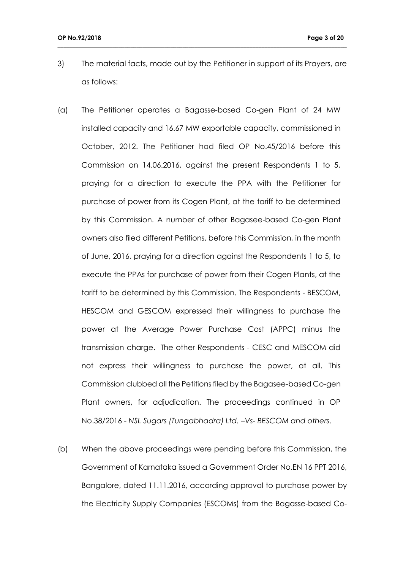3) The material facts, made out by the Petitioner in support of its Prayers, are as follows:

- (a) The Petitioner operates a Bagasse-based Co-gen Plant of 24 MW installed capacity and 16.67 MW exportable capacity, commissioned in October, 2012. The Petitioner had filed OP No.45/2016 before this Commission on 14.06.2016, against the present Respondents 1 to 5, praying for a direction to execute the PPA with the Petitioner for purchase of power from its Cogen Plant, at the tariff to be determined by this Commission. A number of other Bagasee-based Co-gen Plant owners also filed different Petitions, before this Commission, in the month of June, 2016, praying for a direction against the Respondents 1 to 5, to execute the PPAs for purchase of power from their Cogen Plants, at the tariff to be determined by this Commission. The Respondents - BESCOM, HESCOM and GESCOM expressed their willingness to purchase the power at the Average Power Purchase Cost (APPC) minus the transmission charge. The other Respondents - CESC and MESCOM did not express their willingness to purchase the power, at all. This Commission clubbed all the Petitions filed by the Bagasee-based Co-gen Plant owners, for adjudication. The proceedings continued in OP No.38/2016 - *NSL Sugars (Tungabhadra) Ltd. –Vs- BESCOM and others*.
- (b) When the above proceedings were pending before this Commission, the Government of Karnataka issued a Government Order No.EN 16 PPT 2016, Bangalore, dated 11.11.2016, according approval to purchase power by the Electricity Supply Companies (ESCOMs) from the Bagasse-based Co-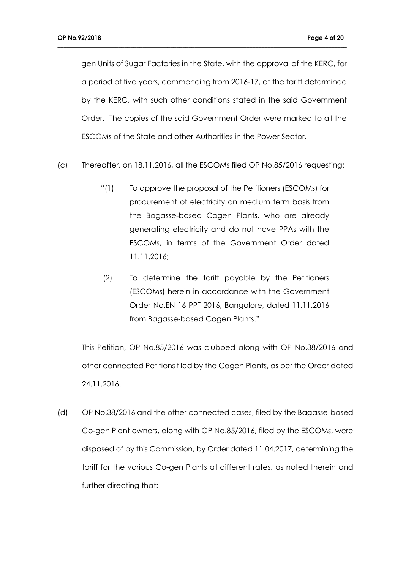gen Units of Sugar Factories in the State, with the approval of the KERC, for a period of five years, commencing from 2016-17, at the tariff determined by the KERC, with such other conditions stated in the said Government Order. The copies of the said Government Order were marked to all the ESCOMs of the State and other Authorities in the Power Sector.

**\_\_\_\_\_\_\_\_\_\_\_\_\_\_\_\_\_\_\_\_\_\_\_\_\_\_\_\_\_\_\_\_\_\_\_\_\_\_\_\_\_\_\_\_\_\_\_\_\_\_\_\_\_\_\_\_\_\_\_\_\_\_\_\_\_\_\_\_\_\_\_\_\_\_\_\_\_\_\_\_\_\_\_\_\_\_\_\_\_\_\_\_\_\_\_**

- (c) Thereafter, on 18.11.2016, all the ESCOMs filed OP No.85/2016 requesting:
	- "(1) To approve the proposal of the Petitioners (ESCOMs) for procurement of electricity on medium term basis from the Bagasse-based Cogen Plants, who are already generating electricity and do not have PPAs with the ESCOMs, in terms of the Government Order dated 11.11.2016;
	- (2) To determine the tariff payable by the Petitioners (ESCOMs) herein in accordance with the Government Order No.EN 16 PPT 2016, Bangalore, dated 11.11.2016 from Bagasse-based Cogen Plants."

This Petition, OP No.85/2016 was clubbed along with OP No.38/2016 and other connected Petitions filed by the Cogen Plants, as per the Order dated 24.11.2016.

(d) OP No.38/2016 and the other connected cases, filed by the Bagasse-based Co-gen Plant owners, along with OP No.85/2016, filed by the ESCOMs, were disposed of by this Commission, by Order dated 11.04.2017, determining the tariff for the various Co-gen Plants at different rates, as noted therein and further directing that: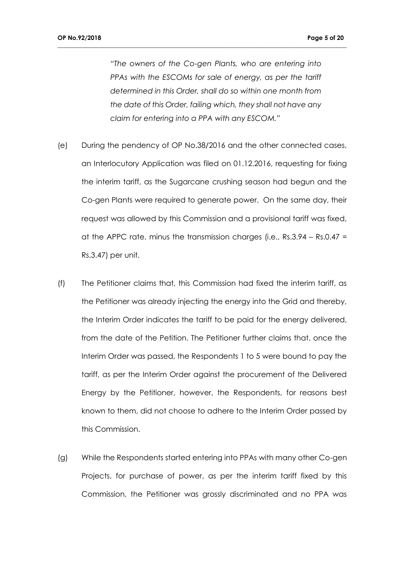*"The owners of the Co-gen Plants, who are entering into PPAs with the ESCOMs for sale of energy, as per the tariff determined in this Order, shall do so within one month from the date of this Order, failing which, they shall not have any claim for entering into a PPA with any ESCOM."*

- (e) During the pendency of OP No.38/2016 and the other connected cases, an Interlocutory Application was filed on 01.12.2016, requesting for fixing the interim tariff, as the Sugarcane crushing season had begun and the Co-gen Plants were required to generate power. On the same day, their request was allowed by this Commission and a provisional tariff was fixed, at the APPC rate, minus the transmission charges (i.e.,  $Rs.3.94 - Rs.0.47 =$ Rs.3.47) per unit.
- (f) The Petitioner claims that, this Commission had fixed the interim tariff, as the Petitioner was already injecting the energy into the Grid and thereby, the Interim Order indicates the tariff to be paid for the energy delivered, from the date of the Petition. The Petitioner further claims that, once the Interim Order was passed, the Respondents 1 to 5 were bound to pay the tariff, as per the Interim Order against the procurement of the Delivered Energy by the Petitioner, however, the Respondents, for reasons best known to them, did not choose to adhere to the Interim Order passed by this Commission.
- (g) While the Respondents started entering into PPAs with many other Co-gen Projects, for purchase of power, as per the interim tariff fixed by this Commission, the Petitioner was grossly discriminated and no PPA was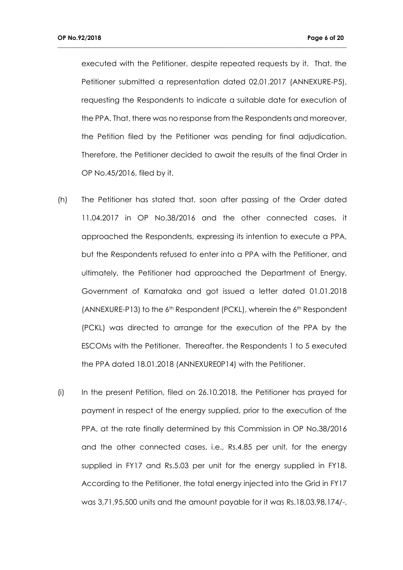executed with the Petitioner, despite repeated requests by it. That, the Petitioner submitted a representation dated 02.01.2017 (ANNEXURE-P5), requesting the Respondents to indicate a suitable date for execution of the PPA. That, there was no response from the Respondents and moreover, the Petition filed by the Petitioner was pending for final adjudication. Therefore, the Petitioner decided to await the results of the final Order in OP No.45/2016, filed by it.

- (h) The Petitioner has stated that, soon after passing of the Order dated 11.04.2017 in OP No.38/2016 and the other connected cases, it approached the Respondents, expressing its intention to execute a PPA, but the Respondents refused to enter into a PPA with the Petitioner, and ultimately, the Petitioner had approached the Department of Energy, Government of Karnataka and got issued a letter dated 01.01.2018 (ANNEXURE-P13) to the 6<sup>th</sup> Respondent (PCKL), wherein the 6<sup>th</sup> Respondent (PCKL) was directed to arrange for the execution of the PPA by the ESCOMs with the Petitioner. Thereafter, the Respondents 1 to 5 executed the PPA dated 18.01.2018 (ANNEXURE0P14) with the Petitioner.
- (i) In the present Petition, filed on 26.10.2018, the Petitioner has prayed for payment in respect of the energy supplied, prior to the execution of the PPA, at the rate finally determined by this Commission in OP No.38/2016 and the other connected cases, i.e., Rs.4.85 per unit, for the energy supplied in FY17 and Rs.5.03 per unit for the energy supplied in FY18. According to the Petitioner, the total energy injected into the Grid in FY17 was 3,71,95,500 units and the amount payable for it was Rs.18,03,98,174/-,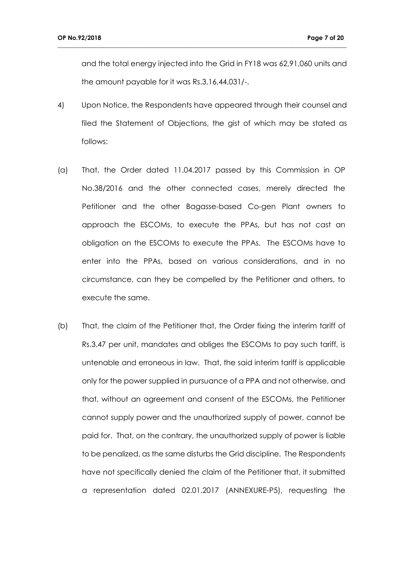and the total energy injected into the Grid in FY18 was 62,91,060 units and the amount payable for it was Rs.3,16,44,031/-.

4) Upon Notice, the Respondents have appeared through their counsel and filed the Statement of Objections, the gist of which may be stated as follows:

- (a) That, the Order dated 11.04.2017 passed by this Commission in OP No.38/2016 and the other connected cases, merely directed the Petitioner and the other Bagasse-based Co-gen Plant owners to approach the ESCOMs, to execute the PPAs, but has not cast an obligation on the ESCOMs to execute the PPAs. The ESCOMs have to enter into the PPAs, based on various considerations, and in no circumstance, can they be compelled by the Petitioner and others, to execute the same.
- (b) That, the claim of the Petitioner that, the Order fixing the interim tariff of Rs.3.47 per unit, mandates and obliges the ESCOMs to pay such tariff, is untenable and erroneous in law. That, the said interim tariff is applicable only for the power supplied in pursuance of a PPA and not otherwise, and that, without an agreement and consent of the ESCOMs, the Petitioner cannot supply power and the unauthorized supply of power, cannot be paid for. That, on the contrary, the unauthorized supply of power is liable to be penalized, as the same disturbs the Grid discipline. The Respondents have not specifically denied the claim of the Petitioner that, it submitted a representation dated 02.01.2017 (ANNEXURE-P5), requesting the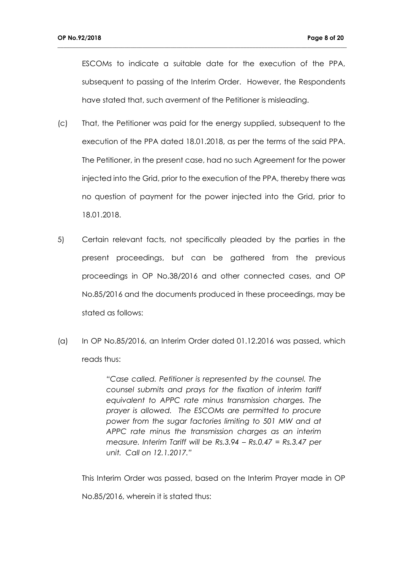ESCOMs to indicate a suitable date for the execution of the PPA, subsequent to passing of the Interim Order. However, the Respondents have stated that, such averment of the Petitioner is misleading.

**\_\_\_\_\_\_\_\_\_\_\_\_\_\_\_\_\_\_\_\_\_\_\_\_\_\_\_\_\_\_\_\_\_\_\_\_\_\_\_\_\_\_\_\_\_\_\_\_\_\_\_\_\_\_\_\_\_\_\_\_\_\_\_\_\_\_\_\_\_\_\_\_\_\_\_\_\_\_\_\_\_\_\_\_\_\_\_\_\_\_\_\_\_\_\_**

- (c) That, the Petitioner was paid for the energy supplied, subsequent to the execution of the PPA dated 18.01.2018, as per the terms of the said PPA. The Petitioner, in the present case, had no such Agreement for the power injected into the Grid, prior to the execution of the PPA, thereby there was no question of payment for the power injected into the Grid, prior to 18.01.2018.
- 5) Certain relevant facts, not specifically pleaded by the parties in the present proceedings, but can be gathered from the previous proceedings in OP No.38/2016 and other connected cases, and OP No.85/2016 and the documents produced in these proceedings, may be stated as follows:
- (a) In OP No.85/2016, an Interim Order dated 01.12.2016 was passed, which reads thus:

*"Case called. Petitioner is represented by the counsel. The counsel submits and prays for the fixation of interim tariff equivalent to APPC rate minus transmission charges. The prayer is allowed. The ESCOMs are permitted to procure power from the sugar factories limiting to 501 MW and at APPC rate minus the transmission charges as an interim measure. Interim Tariff will be Rs.3.94 – Rs.0.47 = Rs.3.47 per unit. Call on 12.1.2017."*

This Interim Order was passed, based on the Interim Prayer made in OP

No.85/2016, wherein it is stated thus: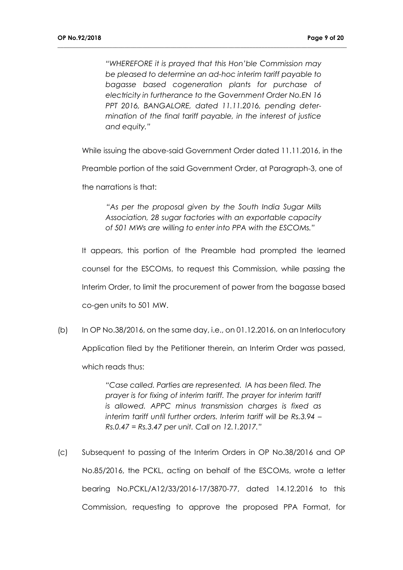*"WHEREFORE it is prayed that this Hon'ble Commission may be pleased to determine an ad-hoc interim tariff payable to bagasse based cogeneration plants for purchase of electricity in furtherance to the Government Order No.EN 16 PPT 2016, BANGALORE, dated 11.11.2016, pending determination of the final tariff payable, in the interest of justice and equity."*

**\_\_\_\_\_\_\_\_\_\_\_\_\_\_\_\_\_\_\_\_\_\_\_\_\_\_\_\_\_\_\_\_\_\_\_\_\_\_\_\_\_\_\_\_\_\_\_\_\_\_\_\_\_\_\_\_\_\_\_\_\_\_\_\_\_\_\_\_\_\_\_\_\_\_\_\_\_\_\_\_\_\_\_\_\_\_\_\_\_\_\_\_\_\_\_**

While issuing the above-said Government Order dated 11.11.2016, in the

Preamble portion of the said Government Order, at Paragraph-3, one of

the narrations is that:

*"As per the proposal given by the South India Sugar Mills Association, 28 sugar factories with an exportable capacity of 501 MWs are willing to enter into PPA with the ESCOMs."*

It appears, this portion of the Preamble had prompted the learned counsel for the ESCOMs, to request this Commission, while passing the Interim Order, to limit the procurement of power from the bagasse based co-gen units to 501 MW.

 $(b)$  In OP No.38/2016, on the same day, i.e., on 01.12.2016, on an Interlocutory Application filed by the Petitioner therein, an Interim Order was passed, which reads thus:

> *"Case called. Parties are represented. IA has been filed. The prayer is for fixing of interim tariff. The prayer for interim tariff is allowed. APPC minus transmission charges is fixed as interim tariff until further orders. Interim tariff will be Rs.3.94 – Rs.0.47 = Rs.3.47 per unit. Call on 12.1.2017."*

(c) Subsequent to passing of the Interim Orders in OP No.38/2016 and OP No.85/2016, the PCKL, acting on behalf of the ESCOMs, wrote a letter bearing No.PCKL/A12/33/2016-17/3870-77, dated 14.12.2016 to this Commission, requesting to approve the proposed PPA Format, for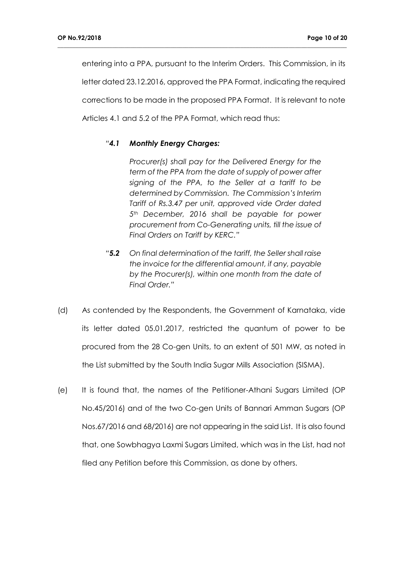entering into a PPA, pursuant to the Interim Orders. This Commission, in its letter dated 23.12.2016, approved the PPA Format, indicating the required corrections to be made in the proposed PPA Format. It is relevant to note Articles 4.1 and 5.2 of the PPA Format, which read thus:

**\_\_\_\_\_\_\_\_\_\_\_\_\_\_\_\_\_\_\_\_\_\_\_\_\_\_\_\_\_\_\_\_\_\_\_\_\_\_\_\_\_\_\_\_\_\_\_\_\_\_\_\_\_\_\_\_\_\_\_\_\_\_\_\_\_\_\_\_\_\_\_\_\_\_\_\_\_\_\_\_\_\_\_\_\_\_\_\_\_\_\_\_\_\_\_**

#### *"4.1 Monthly Energy Charges:*

*Procurer(s) shall pay for the Delivered Energy for the term of the PPA from the date of supply of power after signing of the PPA, to the Seller at a tariff to be determined by Commission. The Commission's Interim Tariff of Rs.3.47 per unit, approved vide Order dated 5th December, 2016 shall be payable for power procurement from Co-Generating units, till the issue of Final Orders on Tariff by KERC."*

- *"5.2 On final determination of the tariff, the Seller shall raise the invoice for the differential amount, if any, payable by the Procurer(s), within one month from the date of Final Order."*
- (d) As contended by the Respondents, the Government of Karnataka, vide its letter dated 05.01.2017, restricted the quantum of power to be procured from the 28 Co-gen Units, to an extent of 501 MW, as noted in the List submitted by the South India Sugar Mills Association (SISMA).
- (e) It is found that, the names of the Petitioner-Athani Sugars Limited (OP No.45/2016) and of the two Co-gen Units of Bannari Amman Sugars (OP Nos.67/2016 and 68/2016) are not appearing in the said List. It is also found that, one Sowbhagya Laxmi Sugars Limited, which was in the List, had not filed any Petition before this Commission, as done by others.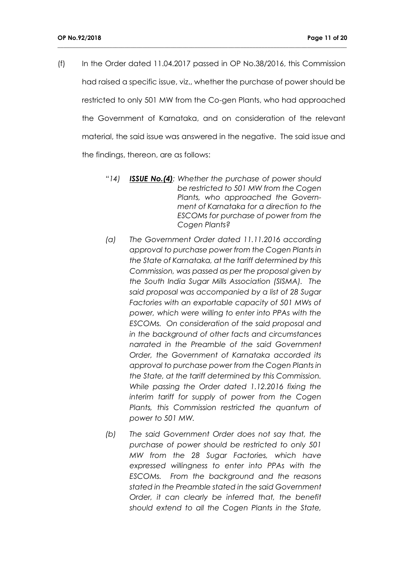(f) In the Order dated 11.04.2017 passed in OP No.38/2016, this Commission had raised a specific issue, viz., whether the purchase of power should be restricted to only 501 MW from the Co-gen Plants, who had approached the Government of Karnataka, and on consideration of the relevant material, the said issue was answered in the negative. The said issue and the findings, thereon, are as follows:

- *"14) ISSUE No.(4): Whether the purchase of power should be restricted to 501 MW from the Cogen Plants, who approached the Government of Karnataka for a direction to the ESCOMs for purchase of power from the Cogen Plants?*
- *(a) The Government Order dated 11.11.2016 according approval to purchase power from the Cogen Plants in the State of Karnataka, at the tariff determined by this Commission, was passed as per the proposal given by the South India Sugar Mills Association (SISMA). The said proposal was accompanied by a list of 28 Sugar Factories with an exportable capacity of 501 MWs of power, which were willing to enter into PPAs with the ESCOMs. On consideration of the said proposal and in the background of other facts and circumstances narrated in the Preamble of the said Government Order, the Government of Karnataka accorded its approval to purchase power from the Cogen Plants in the State, at the tariff determined by this Commission. While passing the Order dated 1.12.2016 fixing the interim tariff for supply of power from the Cogen Plants, this Commission restricted the quantum of power to 501 MW.*
- *(b) The said Government Order does not say that, the purchase of power should be restricted to only 501 MW from the 28 Sugar Factories, which have expressed willingness to enter into PPAs with the ESCOMs. From the background and the reasons stated in the Preamble stated in the said Government Order, it can clearly be inferred that, the benefit should extend to all the Cogen Plants in the State,*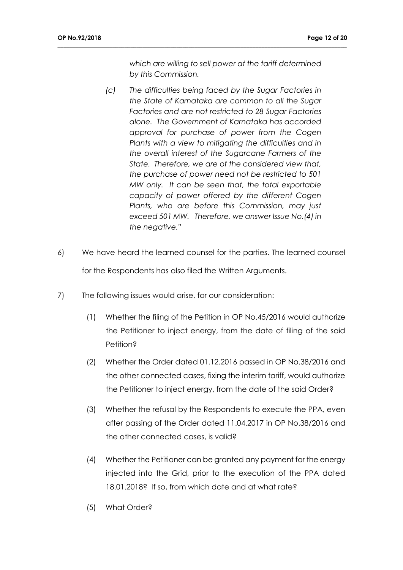*which are willing to sell power at the tariff determined by this Commission.*

- *(c) The difficulties being faced by the Sugar Factories in the State of Karnataka are common to all the Sugar Factories and are not restricted to 28 Sugar Factories alone. The Government of Karnataka has accorded approval for purchase of power from the Cogen Plants with a view to mitigating the difficulties and in the overall interest of the Sugarcane Farmers of the State. Therefore, we are of the considered view that, the purchase of power need not be restricted to 501 MW only. It can be seen that, the total exportable capacity of power offered by the different Cogen Plants, who are before this Commission, may just exceed 501 MW. Therefore, we answer Issue No.(4) in the negative."*
- 6) We have heard the learned counsel for the parties. The learned counsel for the Respondents has also filed the Written Arguments.
- 7) The following issues would arise, for our consideration:
	- (1) Whether the filing of the Petition in OP No.45/2016 would authorize the Petitioner to inject energy, from the date of filing of the said Petition?
	- (2) Whether the Order dated 01.12.2016 passed in OP No.38/2016 and the other connected cases, fixing the interim tariff, would authorize the Petitioner to inject energy, from the date of the said Order?
	- (3) Whether the refusal by the Respondents to execute the PPA, even after passing of the Order dated 11.04.2017 in OP No.38/2016 and the other connected cases, is valid?
	- (4) Whether the Petitioner can be granted any payment for the energy injected into the Grid, prior to the execution of the PPA dated 18.01.2018? If so, from which date and at what rate?
	- (5) What Order?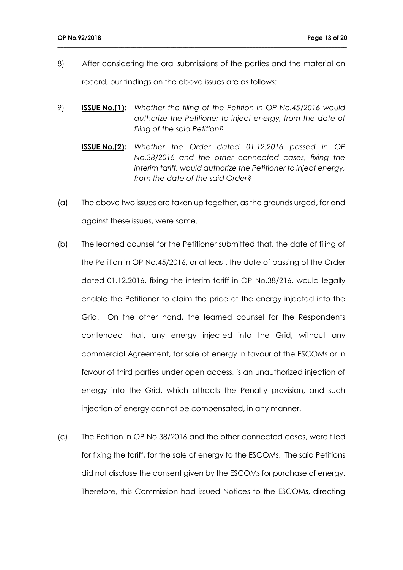8) After considering the oral submissions of the parties and the material on record, our findings on the above issues are as follows:

- 9) **ISSUE No.(1):** *Whether the filing of the Petition in OP No.45/2016 would authorize the Petitioner to inject energy, from the date of filing of the said Petition?*
	- **ISSUE No.(2):** *Whether the Order dated 01.12.2016 passed in OP No.38/2016 and the other connected cases, fixing the interim tariff, would authorize the Petitioner to inject energy, from the date of the said Order*?
- (a) The above two issues are taken up together, as the grounds urged, for and against these issues, were same.
- (b) The learned counsel for the Petitioner submitted that, the date of filing of the Petition in OP No.45/2016, or at least, the date of passing of the Order dated 01.12.2016, fixing the interim tariff in OP No.38/216, would legally enable the Petitioner to claim the price of the energy injected into the Grid. On the other hand, the learned counsel for the Respondents contended that, any energy injected into the Grid, without any commercial Agreement, for sale of energy in favour of the ESCOMs or in favour of third parties under open access, is an unauthorized injection of energy into the Grid, which attracts the Penalty provision, and such injection of energy cannot be compensated, in any manner.
- (c) The Petition in OP No.38/2016 and the other connected cases, were filed for fixing the tariff, for the sale of energy to the ESCOMs. The said Petitions did not disclose the consent given by the ESCOMs for purchase of energy. Therefore, this Commission had issued Notices to the ESCOMs, directing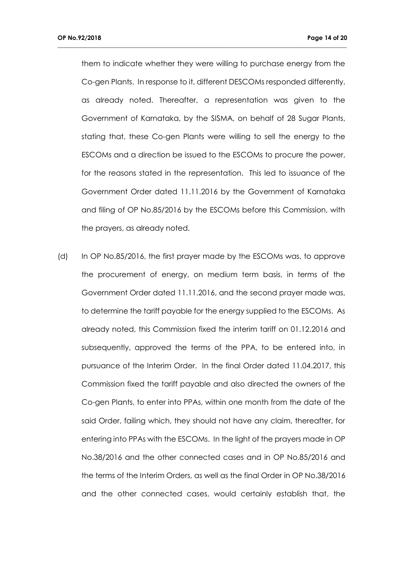them to indicate whether they were willing to purchase energy from the Co-gen Plants. In response to it, different DESCOMs responded differently, as already noted. Thereafter, a representation was given to the Government of Karnataka, by the SISMA, on behalf of 28 Sugar Plants, stating that, these Co-gen Plants were willing to sell the energy to the ESCOMs and a direction be issued to the ESCOMs to procure the power, for the reasons stated in the representation. This led to issuance of the Government Order dated 11.11.2016 by the Government of Karnataka and filing of OP No.85/2016 by the ESCOMs before this Commission, with the prayers, as already noted.

**\_\_\_\_\_\_\_\_\_\_\_\_\_\_\_\_\_\_\_\_\_\_\_\_\_\_\_\_\_\_\_\_\_\_\_\_\_\_\_\_\_\_\_\_\_\_\_\_\_\_\_\_\_\_\_\_\_\_\_\_\_\_\_\_\_\_\_\_\_\_\_\_\_\_\_\_\_\_\_\_\_\_\_\_\_\_\_\_\_\_\_\_\_\_\_**

(d) In OP No.85/2016, the first prayer made by the ESCOMs was, to approve the procurement of energy, on medium term basis, in terms of the Government Order dated 11.11.2016, and the second prayer made was, to determine the tariff payable for the energy supplied to the ESCOMs. As already noted, this Commission fixed the interim tariff on 01.12.2016 and subsequently, approved the terms of the PPA, to be entered into, in pursuance of the Interim Order. In the final Order dated 11.04.2017, this Commission fixed the tariff payable and also directed the owners of the Co-gen Plants, to enter into PPAs, within one month from the date of the said Order, failing which, they should not have any claim, thereafter, for entering into PPAs with the ESCOMs. In the light of the prayers made in OP No.38/2016 and the other connected cases and in OP No.85/2016 and the terms of the Interim Orders, as well as the final Order in OP No.38/2016 and the other connected cases, would certainly establish that, the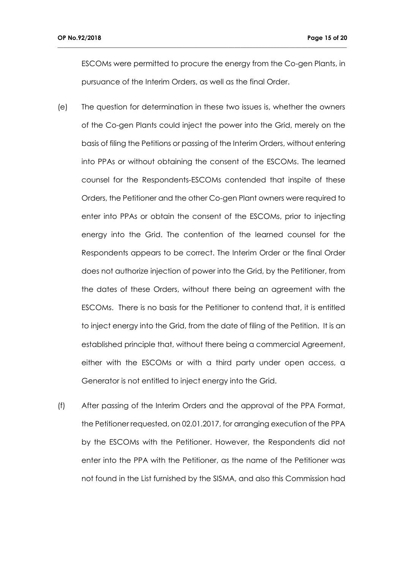ESCOMs were permitted to procure the energy from the Co-gen Plants, in pursuance of the Interim Orders, as well as the final Order.

- (e) The question for determination in these two issues is, whether the owners of the Co-gen Plants could inject the power into the Grid, merely on the basis of filing the Petitions or passing of the Interim Orders, without entering into PPAs or without obtaining the consent of the ESCOMs. The learned counsel for the Respondents-ESCOMs contended that inspite of these Orders, the Petitioner and the other Co-gen Plant owners were required to enter into PPAs or obtain the consent of the ESCOMs, prior to injecting energy into the Grid. The contention of the learned counsel for the Respondents appears to be correct. The Interim Order or the final Order does not authorize injection of power into the Grid, by the Petitioner, from the dates of these Orders, without there being an agreement with the ESCOMs. There is no basis for the Petitioner to contend that, it is entitled to inject energy into the Grid, from the date of filing of the Petition. It is an established principle that, without there being a commercial Agreement, either with the ESCOMs or with a third party under open access, a Generator is not entitled to inject energy into the Grid.
- (f) After passing of the Interim Orders and the approval of the PPA Format, the Petitioner requested, on 02.01.2017, for arranging execution of the PPA by the ESCOMs with the Petitioner. However, the Respondents did not enter into the PPA with the Petitioner, as the name of the Petitioner was not found in the List furnished by the SISMA, and also this Commission had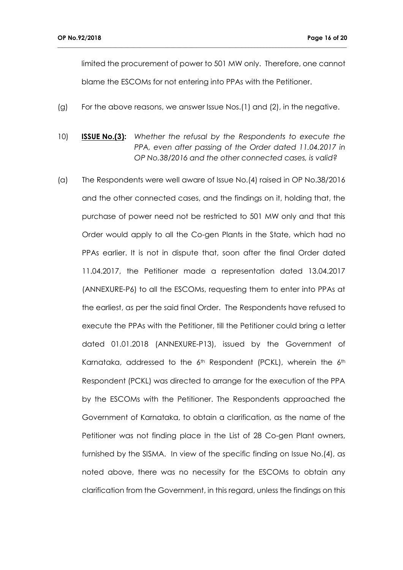limited the procurement of power to 501 MW only. Therefore, one cannot blame the ESCOMs for not entering into PPAs with the Petitioner.

(g) For the above reasons, we answer Issue Nos.(1) and (2), in the negative.

- 10) **ISSUE No.(3):** *Whether the refusal by the Respondents to execute the PPA, even after passing of the Order dated 11.04.2017 in OP No.38/2016 and the other connected cases, is valid?*
- (a) The Respondents were well aware of Issue No.(4) raised in OP No.38/2016 and the other connected cases, and the findings on it, holding that, the purchase of power need not be restricted to 501 MW only and that this Order would apply to all the Co-gen Plants in the State, which had no PPAs earlier. It is not in dispute that, soon after the final Order dated 11.04.2017, the Petitioner made a representation dated 13.04.2017 (ANNEXURE-P6) to all the ESCOMs, requesting them to enter into PPAs at the earliest, as per the said final Order. The Respondents have refused to execute the PPAs with the Petitioner, till the Petitioner could bring a letter dated 01.01.2018 (ANNEXURE-P13), issued by the Government of Karnataka, addressed to the 6<sup>th</sup> Respondent (PCKL), wherein the 6<sup>th</sup> Respondent (PCKL) was directed to arrange for the execution of the PPA by the ESCOMs with the Petitioner. The Respondents approached the Government of Karnataka, to obtain a clarification, as the name of the Petitioner was not finding place in the List of 28 Co-gen Plant owners, furnished by the SISMA. In view of the specific finding on Issue No.(4), as noted above, there was no necessity for the ESCOMs to obtain any clarification from the Government, in this regard, unless the findings on this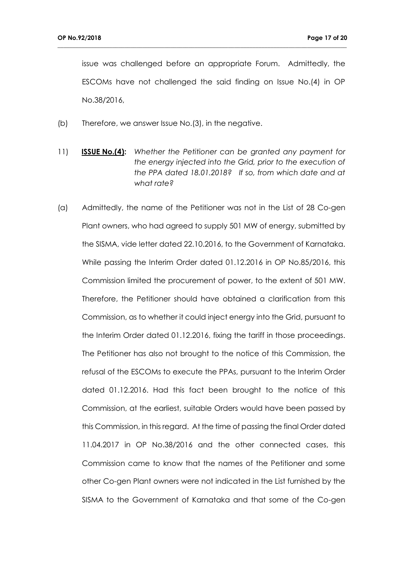issue was challenged before an appropriate Forum. Admittedly, the ESCOMs have not challenged the said finding on Issue No.(4) in OP No.38/2016,

- (b) Therefore, we answer Issue No.(3), in the negative.
- 11) **ISSUE No.(4):** *Whether the Petitioner can be granted any payment for the energy injected into the Grid, prior to the execution of the PPA dated 18.01.2018? If so, from which date and at what rate?*
- (a) Admittedly, the name of the Petitioner was not in the List of 28 Co-gen Plant owners, who had agreed to supply 501 MW of energy, submitted by the SISMA, vide letter dated 22.10.2016, to the Government of Karnataka. While passing the Interim Order dated 01.12.2016 in OP No.85/2016, this Commission limited the procurement of power, to the extent of 501 MW. Therefore, the Petitioner should have obtained a clarification from this Commission, as to whether it could inject energy into the Grid, pursuant to the Interim Order dated 01.12.2016, fixing the tariff in those proceedings. The Petitioner has also not brought to the notice of this Commission, the refusal of the ESCOMs to execute the PPAs, pursuant to the Interim Order dated 01.12.2016. Had this fact been brought to the notice of this Commission, at the earliest, suitable Orders would have been passed by this Commission, in this regard. At the time of passing the final Order dated 11.04.2017 in OP No.38/2016 and the other connected cases, this Commission came to know that the names of the Petitioner and some other Co-gen Plant owners were not indicated in the List furnished by the SISMA to the Government of Karnataka and that some of the Co-gen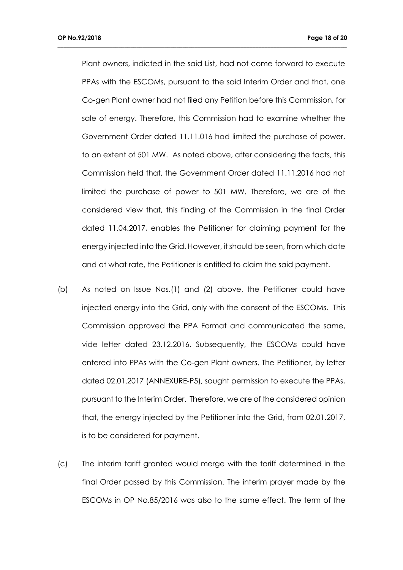Plant owners, indicted in the said List, had not come forward to execute PPAs with the ESCOMs, pursuant to the said Interim Order and that, one Co-gen Plant owner had not filed any Petition before this Commission, for sale of energy. Therefore, this Commission had to examine whether the Government Order dated 11.11.016 had limited the purchase of power, to an extent of 501 MW. As noted above, after considering the facts, this Commission held that, the Government Order dated 11.11.2016 had not limited the purchase of power to 501 MW. Therefore, we are of the considered view that, this finding of the Commission in the final Order dated 11.04.2017, enables the Petitioner for claiming payment for the energy injected into the Grid. However, it should be seen, from which date and at what rate, the Petitioner is entitled to claim the said payment.

- (b) As noted on Issue Nos.(1) and (2) above, the Petitioner could have injected energy into the Grid, only with the consent of the ESCOMs. This Commission approved the PPA Format and communicated the same, vide letter dated 23.12.2016. Subsequently, the ESCOMs could have entered into PPAs with the Co-gen Plant owners. The Petitioner, by letter dated 02.01.2017 (ANNEXURE-P5), sought permission to execute the PPAs, pursuant to the Interim Order. Therefore, we are of the considered opinion that, the energy injected by the Petitioner into the Grid, from 02.01.2017, is to be considered for payment.
- (c) The interim tariff granted would merge with the tariff determined in the final Order passed by this Commission. The interim prayer made by the ESCOMs in OP No.85/2016 was also to the same effect. The term of the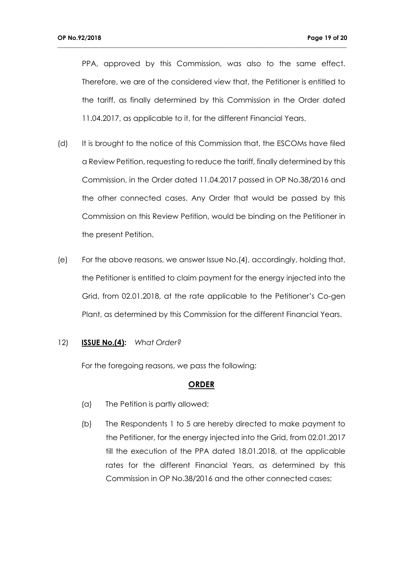PPA, approved by this Commission, was also to the same effect. Therefore, we are of the considered view that, the Petitioner is entitled to the tariff, as finally determined by this Commission in the Order dated 11.04.2017, as applicable to it, for the different Financial Years.

**\_\_\_\_\_\_\_\_\_\_\_\_\_\_\_\_\_\_\_\_\_\_\_\_\_\_\_\_\_\_\_\_\_\_\_\_\_\_\_\_\_\_\_\_\_\_\_\_\_\_\_\_\_\_\_\_\_\_\_\_\_\_\_\_\_\_\_\_\_\_\_\_\_\_\_\_\_\_\_\_\_\_\_\_\_\_\_\_\_\_\_\_\_\_\_**

- (d) It is brought to the notice of this Commission that, the ESCOMs have filed a Review Petition, requesting to reduce the tariff, finally determined by this Commission, in the Order dated 11.04.2017 passed in OP No.38/2016 and the other connected cases. Any Order that would be passed by this Commission on this Review Petition, would be binding on the Petitioner in the present Petition.
- (e) For the above reasons, we answer Issue No.(4), accordingly, holding that, the Petitioner is entitled to claim payment for the energy injected into the Grid, from 02.01.2018, at the rate applicable to the Petitioner's Co-gen Plant, as determined by this Commission for the different Financial Years.

#### 12) **ISSUE No.(4):** *What Order?*

For the foregoing reasons, we pass the following:

#### **ORDER**

- (a) The Petition is partly allowed;
- (b) The Respondents 1 to 5 are hereby directed to make payment to the Petitioner, for the energy injected into the Grid, from 02.01.2017 till the execution of the PPA dated 18.01.2018, at the applicable rates for the different Financial Years, as determined by this Commission in OP No.38/2016 and the other connected cases;